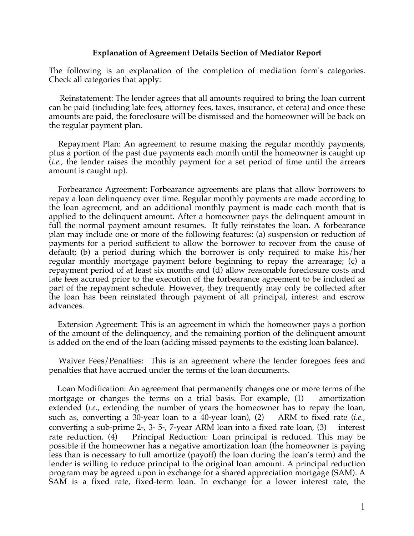## **Explanation of Agreement Details Section of Mediator Report**

The following is an explanation of the completion of mediation form's categories. Check all categories that apply:

 Reinstatement: The lender agrees that all amounts required to bring the loan current can be paid (including late fees, attorney fees, taxes, insurance, et cetera) and once these amounts are paid, the foreclosure will be dismissed and the homeowner will be back on the regular payment plan.

 Repayment Plan: An agreement to resume making the regular monthly payments, plus a portion of the past due payments each month until the homeowner is caught up (*i.e.,* the lender raises the monthly payment for a set period of time until the arrears amount is caught up).

 Forbearance Agreement: Forbearance agreements are plans that allow borrowers to repay a loan delinquency over time. Regular monthly payments are made according to the loan agreement, and an additional monthly payment is made each month that is applied to the delinquent amount. After a homeowner pays the delinquent amount in full the normal payment amount resumes. It fully reinstates the loan. A forbearance plan may include one or more of the following features: (a) suspension or reduction of payments for a period sufficient to allow the borrower to recover from the cause of default; (b) a period during which the borrower is only required to make his/her regular monthly mortgage payment before beginning to repay the arrearage; (c) a repayment period of at least six months and (d) allow reasonable foreclosure costs and late fees accrued prior to the execution of the forbearance agreement to be included as part of the repayment schedule. However, they frequently may only be collected after the loan has been reinstated through payment of all principal, interest and escrow advances.

 Extension Agreement: This is an agreement in which the homeowner pays a portion of the amount of the delinquency, and the remaining portion of the delinquent amount is added on the end of the loan (adding missed payments to the existing loan balance).

Waiver Fees/Penalties: This is an agreement where the lender foregoes fees and penalties that have accrued under the terms of the loan documents.

 Loan Modification: An agreement that permanently changes one or more terms of the mortgage or changes the terms on a trial basis. For example, (1) amortization extended (*i.e.*, extending the number of years the homeowner has to repay the loan, such as, converting a 30-year loan to a 40-year loan), (2) ARM to fixed rate (*i.e.,*  converting a sub-prime 2-, 3- 5-, 7-year ARM loan into a fixed rate loan, (3) interest rate reduction. (4) Principal Reduction: Loan principal is reduced. This may be possible if the homeowner has a negative amortization loan (the homeowner is paying less than is necessary to full amortize (payoff) the loan during the loan's term) and the lender is willing to reduce principal to the original loan amount. A principal reduction program may be agreed upon in exchange for a shared appreciation mortgage (SAM). A SAM is a fixed rate, fixed-term loan. In exchange for a lower interest rate, the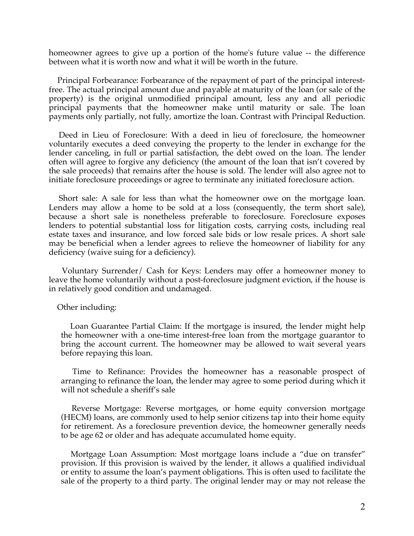homeowner agrees to give up a portion of the home's future value -- the difference between what it is worth now and what it will be worth in the future.

 Principal Forbearance: Forbearance of the repayment of part of the principal interestfree. The actual principal amount due and payable at maturity of the loan (or sale of the property) is the original unmodified principal amount, less any and all periodic principal payments that the homeowner make until maturity or sale. The loan payments only partially, not fully, amortize the loan. Contrast with Principal Reduction.

 Deed in Lieu of Foreclosure: With a deed in lieu of foreclosure, the homeowner voluntarily executes a deed conveying the property to the lender in exchange for the lender canceling, in full or partial satisfaction, the debt owed on the loan. The lender often will agree to forgive any deficiency (the amount of the loan that isn't covered by the sale proceeds) that remains after the house is sold. The lender will also agree not to initiate foreclosure proceedings or agree to terminate any initiated foreclosure action.

 Short sale: A sale for less than what the homeowner owe on the mortgage loan. Lenders may allow a home to be sold at a loss (consequently, the term short sale), because a short sale is nonetheless preferable to foreclosure. Foreclosure exposes lenders to potential substantial loss for litigation costs, carrying costs, including real estate taxes and insurance, and low forced sale bids or low resale prices. A short sale may be beneficial when a lender agrees to relieve the homeowner of liability for any deficiency (waive suing for a deficiency).

 Voluntary Surrender/ Cash for Keys: Lenders may offer a homeowner money to leave the home voluntarily without a post-foreclosure judgment eviction, if the house is in relatively good condition and undamaged.

## Other including:

 Loan Guarantee Partial Claim: If the mortgage is insured, the lender might help the homeowner with a one-time interest-free loan from the mortgage guarantor to bring the account current. The homeowner may be allowed to wait several years before repaying this loan.

 Time to Refinance: Provides the homeowner has a reasonable prospect of arranging to refinance the loan, the lender may agree to some period during which it will not schedule a sheriff's sale

 Reverse Mortgage: Reverse mortgages, or home equity conversion mortgage (HECM) loans, are commonly used to help senior citizens tap into their home equity for retirement. As a foreclosure prevention device, the homeowner generally needs to be age 62 or older and has adequate accumulated home equity.

 Mortgage Loan Assumption: Most mortgage loans include a "due on transfer" provision. If this provision is waived by the lender, it allows a qualified individual or entity to assume the loan's payment obligations. This is often used to facilitate the sale of the property to a third party. The original lender may or may not release the